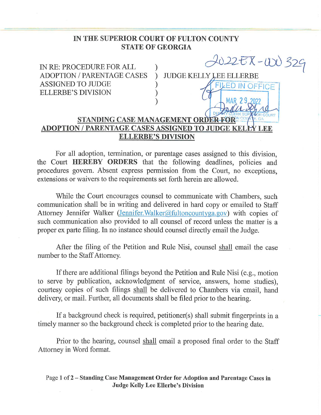## IN THE SUPERIOR COURT OF FULTON COUNTY STATE OF GEORGIA

ELLERBE'S DIVISION



## MARK 2020 NAR 2020 NA DA MA DA MA DA MA DA MAR 2020 NA DA MARKENTAGE CASES ASSIGNED TO JUDGE KELP<br>ELLERBE'S DIVISION

For all adoption, termination, or parentage cases assigned to this division, the Court HEREBY ORDERS that the following deadlines, policies and procedures govern. Absent express permission from the Court, no exceptions, extensions or waivers to the requirements set forth herein are allowed.

While the Court encourages counsel to communicate with Chambers, such communication shall be in writing and delivered in hard copy or emailed to Staff Attorney Jennifer Walker (Jennifer. Walker@fultoncountyga.gov) with copies of such communication also provided to all counsel of record unless the matter is a proper ex parte filing. In no instance should counsel directly email the Judge.

After the filing of the Petition and Rule Nisi, counsel shall email the case number to the Staff Attorney.

If there are additional filings beyond the Petition and Rule Nisi (e.g., motion to serve by publication, acknowledgment of service, answers, home studies), courtesy copies of such filings shall be delivered to Chambers via email, hand delivery, or mail. Further, all documents shall be filed prior to the hearing.

If a background check is required, petitioner(s) shall submit fingerprints in a timely manner so the background check is completed prior to the hearing date.

Prior to the hearing, counsel shall email a proposed final order to the Staff Attorney in Word format.

Page 1 of 2 — Standing Case Management Order for Adoption and Parentage Cases in Judge Kelly Lee Ellerbe's Division